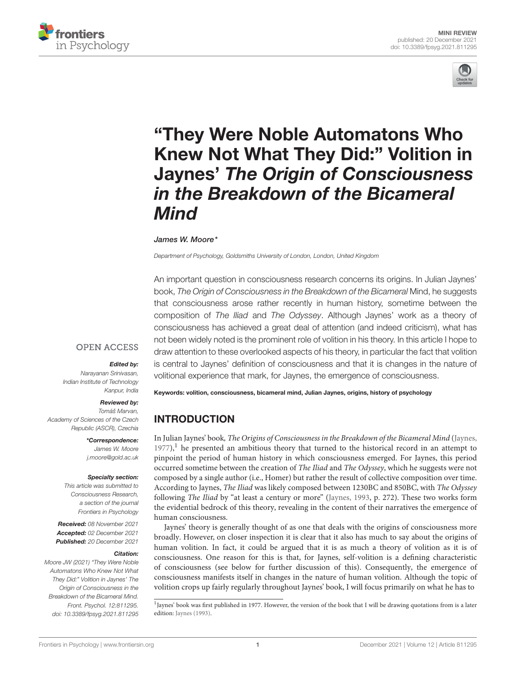



# "They Were Noble Automatons Who [Knew Not What They Did:" Volition in](https://www.frontiersin.org/articles/10.3389/fpsyg.2021.811295/full) Jaynes' The Origin of Consciousness in the Breakdown of the Bicameral Mind

### James W. Moore\*

Department of Psychology, Goldsmiths University of London, London, United Kingdom

An important question in consciousness research concerns its origins. In Julian Jaynes' book, The Origin of Consciousness in the Breakdown of the Bicameral Mind, he suggests that consciousness arose rather recently in human history, sometime between the composition of The Iliad and The Odyssey. Although Jaynes' work as a theory of consciousness has achieved a great deal of attention (and indeed criticism), what has not been widely noted is the prominent role of volition in his theory. In this article I hope to draw attention to these overlooked aspects of his theory, in particular the fact that volition is central to Jaynes' definition of consciousness and that it is changes in the nature of volitional experience that mark, for Jaynes, the emergence of consciousness.

# **OPEN ACCESS**

### Edited by:

Narayanan Srinivasan, Indian Institute of Technology Kanpur, India

### Reviewed by:

Tomáš Marvan, Academy of Sciences of the Czech Republic (ASCR), Czechia

> \*Correspondence: James W. Moore [j.moore@gold.ac.uk](mailto:j.moore@gold.ac.uk)

### Specialty section:

This article was submitted to Consciousness Research, a section of the journal Frontiers in Psychology

Received: 08 November 2021 Accepted: 02 December 2021 Published: 20 December 2021

### Citation:

Moore JW (2021) "They Were Noble Automatons Who Knew Not What They Did:" Volition in Jaynes' The Origin of Consciousness in the Breakdown of the Bicameral Mind. Front. Psychol. 12:811295. doi: [10.3389/fpsyg.2021.811295](https://doi.org/10.3389/fpsyg.2021.811295) Keywords: volition, consciousness, bicameral mind, Julian Jaynes, origins, history of psychology

# INTRODUCTION

In Julian Jaynes' book, The Origins of Consciousness in the Breakdown of the Bicameral Mind [\(Jaynes,](#page-3-0)  $1977$  $1977$ ),<sup>1</sup> he presented an ambitious theory that turned to the historical record in an attempt to pinpoint the period of human history in which consciousness emerged. For Jaynes, this period occurred sometime between the creation of The Iliad and The Odyssey, which he suggests were not composed by a single author (i.e., Homer) but rather the result of collective composition over time. According to Jaynes, The Iliad was likely composed between 1230BC and 850BC, with The Odyssey following The Iliad by "at least a century or more" [\(Jaynes, 1993,](#page-3-1) p. 272). These two works form the evidential bedrock of this theory, revealing in the content of their narratives the emergence of human consciousness.

Jaynes' theory is generally thought of as one that deals with the origins of consciousness more broadly. However, on closer inspection it is clear that it also has much to say about the origins of human volition. In fact, it could be argued that it is as much a theory of volition as it is of consciousness. One reason for this is that, for Jaynes, self-volition is a defining characteristic of consciousness (see below for further discussion of this). Consequently, the emergence of consciousness manifests itself in changes in the nature of human volition. Although the topic of volition crops up fairly regularly throughout Jaynes' book, I will focus primarily on what he has to

<span id="page-0-0"></span><sup>1</sup>Jaynes' book was first published in 1977. However, the version of the book that I will be drawing quotations from is a later edition: [Jaynes \(1993\)](#page-3-1).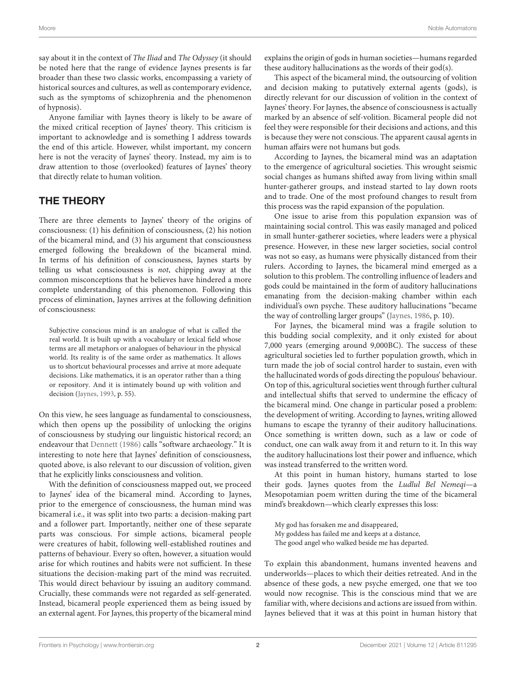say about it in the context of The Iliad and The Odyssey (it should be noted here that the range of evidence Jaynes presents is far broader than these two classic works, encompassing a variety of historical sources and cultures, as well as contemporary evidence, such as the symptoms of schizophrenia and the phenomenon of hypnosis).

Anyone familiar with Jaynes theory is likely to be aware of the mixed critical reception of Jaynes' theory. This criticism is important to acknowledge and is something I address towards the end of this article. However, whilst important, my concern here is not the veracity of Jaynes' theory. Instead, my aim is to draw attention to those (overlooked) features of Jaynes' theory that directly relate to human volition.

## THE THEORY

There are three elements to Jaynes' theory of the origins of consciousness: (1) his definition of consciousness, (2) his notion of the bicameral mind, and (3) his argument that consciousness emerged following the breakdown of the bicameral mind. In terms of his definition of consciousness, Jaynes starts by telling us what consciousness is not, chipping away at the common misconceptions that he believes have hindered a more complete understanding of this phenomenon. Following this process of elimination, Jaynes arrives at the following definition of consciousness:

Subjective conscious mind is an analogue of what is called the real world. It is built up with a vocabulary or lexical field whose terms are all metaphors or analogues of behaviour in the physical world. Its reality is of the same order as mathematics. It allows us to shortcut behavioural processes and arrive at more adequate decisions. Like mathematics, it is an operator rather than a thing or repository. And it is intimately bound up with volition and decision [\(Jaynes, 1993,](#page-3-1) p. 55).

On this view, he sees language as fundamental to consciousness, which then opens up the possibility of unlocking the origins of consciousness by studying our linguistic historical record; an endeavour that [Dennett \(1986\)](#page-3-2) calls "software archaeology." It is interesting to note here that Jaynes' definition of consciousness, quoted above, is also relevant to our discussion of volition, given that he explicitly links consciousness and volition.

With the definition of consciousness mapped out, we proceed to Jaynes' idea of the bicameral mind. According to Jaynes, prior to the emergence of consciousness, the human mind was bicameral i.e., it was split into two parts: a decision-making part and a follower part. Importantly, neither one of these separate parts was conscious. For simple actions, bicameral people were creatures of habit, following well-established routines and patterns of behaviour. Every so often, however, a situation would arise for which routines and habits were not sufficient. In these situations the decision-making part of the mind was recruited. This would direct behaviour by issuing an auditory command. Crucially, these commands were not regarded as self-generated. Instead, bicameral people experienced them as being issued by an external agent. For Jaynes, this property of the bicameral mind explains the origin of gods in human societies—humans regarded these auditory hallucinations as the words of their god(s).

This aspect of the bicameral mind, the outsourcing of volition and decision making to putatively external agents (gods), is directly relevant for our discussion of volition in the context of Jaynes' theory. For Jaynes, the absence of consciousness is actually marked by an absence of self-volition. Bicameral people did not feel they were responsible for their decisions and actions, and this is because they were not conscious. The apparent causal agents in human affairs were not humans but gods.

According to Jaynes, the bicameral mind was an adaptation to the emergence of agricultural societies. This wrought seismic social changes as humans shifted away from living within small hunter-gatherer groups, and instead started to lay down roots and to trade. One of the most profound changes to result from this process was the rapid expansion of the population.

One issue to arise from this population expansion was of maintaining social control. This was easily managed and policed in small hunter-gatherer societies, where leaders were a physical presence. However, in these new larger societies, social control was not so easy, as humans were physically distanced from their rulers. According to Jaynes, the bicameral mind emerged as a solution to this problem. The controlling influence of leaders and gods could be maintained in the form of auditory hallucinations emanating from the decision-making chamber within each individual's own psyche. These auditory hallucinations "became the way of controlling larger groups" [\(Jaynes, 1986,](#page-3-3) p. 10).

For Jaynes, the bicameral mind was a fragile solution to this budding social complexity, and it only existed for about 7,000 years (emerging around 9,000BC). The success of these agricultural societies led to further population growth, which in turn made the job of social control harder to sustain, even with the hallucinated words of gods directing the populous' behaviour. On top of this, agricultural societies went through further cultural and intellectual shifts that served to undermine the efficacy of the bicameral mind. One change in particular posed a problem: the development of writing. According to Jaynes, writing allowed humans to escape the tyranny of their auditory hallucinations. Once something is written down, such as a law or code of conduct, one can walk away from it and return to it. In this way the auditory hallucinations lost their power and influence, which was instead transferred to the written word.

At this point in human history, humans started to lose their gods. Jaynes quotes from the Ludlul Bel Nemeqi—a Mesopotamian poem written during the time of the bicameral mind's breakdown—which clearly expresses this loss:

My god has forsaken me and disappeared, My goddess has failed me and keeps at a distance, The good angel who walked beside me has departed.

To explain this abandonment, humans invented heavens and underworlds—places to which their deities retreated. And in the absence of these gods, a new psyche emerged, one that we too would now recognise. This is the conscious mind that we are familiar with, where decisions and actions are issued from within. Jaynes believed that it was at this point in human history that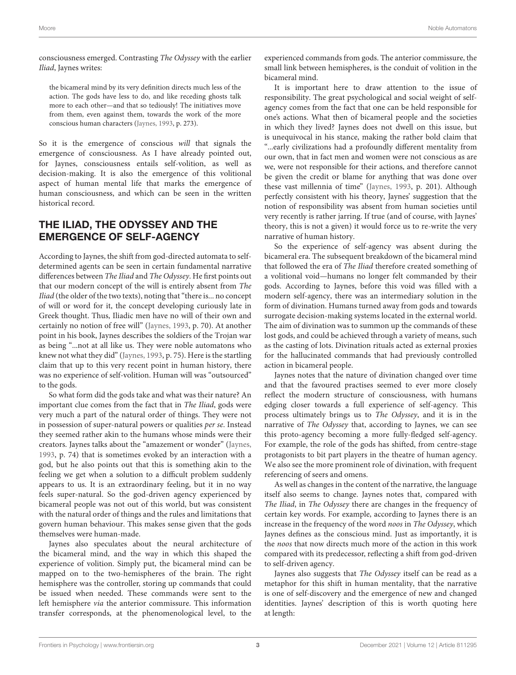consciousness emerged. Contrasting The Odyssey with the earlier Iliad, Jaynes writes:

the bicameral mind by its very definition directs much less of the action. The gods have less to do, and like receding ghosts talk more to each other—and that so tediously! The initiatives move from them, even against them, towards the work of the more conscious human characters [\(Jaynes, 1993,](#page-3-1) p. 273).

So it is the emergence of conscious will that signals the emergence of consciousness. As I have already pointed out, for Jaynes, consciousness entails self-volition, as well as decision-making. It is also the emergence of this volitional aspect of human mental life that marks the emergence of human consciousness, and which can be seen in the written historical record.

# THE ILIAD, THE ODYSSEY AND THE EMERGENCE OF SELF-AGENCY

According to Jaynes, the shift from god-directed automata to selfdetermined agents can be seen in certain fundamental narrative differences between The Iliad and The Odyssey. He first points out that our modern concept of the will is entirely absent from The Iliad (the older of the two texts), noting that "there is... no concept of will or word for it, the concept developing curiously late in Greek thought. Thus, Iliadic men have no will of their own and certainly no notion of free will" [\(Jaynes, 1993,](#page-3-1) p. 70). At another point in his book, Jaynes describes the soldiers of the Trojan war as being "...not at all like us. They were noble automatons who knew not what they did" [\(Jaynes, 1993,](#page-3-1) p. 75). Here is the startling claim that up to this very recent point in human history, there was no experience of self-volition. Human will was "outsourced" to the gods.

So what form did the gods take and what was their nature? An important clue comes from the fact that in The Iliad, gods were very much a part of the natural order of things. They were not in possession of super-natural powers or qualities per se. Instead they seemed rather akin to the humans whose minds were their creators. Jaynes talks about the "amazement or wonder" [\(Jaynes,](#page-3-1) [1993,](#page-3-1) p. 74) that is sometimes evoked by an interaction with a god, but he also points out that this is something akin to the feeling we get when a solution to a difficult problem suddenly appears to us. It is an extraordinary feeling, but it in no way feels super-natural. So the god-driven agency experienced by bicameral people was not out of this world, but was consistent with the natural order of things and the rules and limitations that govern human behaviour. This makes sense given that the gods themselves were human-made.

Jaynes also speculates about the neural architecture of the bicameral mind, and the way in which this shaped the experience of volition. Simply put, the bicameral mind can be mapped on to the two-hemispheres of the brain. The right hemisphere was the controller, storing up commands that could be issued when needed. These commands were sent to the left hemisphere via the anterior commissure. This information transfer corresponds, at the phenomenological level, to the experienced commands from gods. The anterior commissure, the small link between hemispheres, is the conduit of volition in the bicameral mind.

It is important here to draw attention to the issue of responsibility. The great psychological and social weight of selfagency comes from the fact that one can be held responsible for one's actions. What then of bicameral people and the societies in which they lived? Jaynes does not dwell on this issue, but is unequivocal in his stance, making the rather bold claim that "...early civilizations had a profoundly different mentality from our own, that in fact men and women were not conscious as are we, were not responsible for their actions, and therefore cannot be given the credit or blame for anything that was done over these vast millennia of time" [\(Jaynes, 1993,](#page-3-1) p. 201). Although perfectly consistent with his theory, Jaynes' suggestion that the notion of responsibility was absent from human societies until very recently is rather jarring. If true (and of course, with Jaynes' theory, this is not a given) it would force us to re-write the very narrative of human history.

So the experience of self-agency was absent during the bicameral era. The subsequent breakdown of the bicameral mind that followed the era of The Iliad therefore created something of a volitional void—humans no longer felt commanded by their gods. According to Jaynes, before this void was filled with a modern self-agency, there was an intermediary solution in the form of divination. Humans turned away from gods and towards surrogate decision-making systems located in the external world. The aim of divination was to summon up the commands of these lost gods, and could be achieved through a variety of means, such as the casting of lots. Divination rituals acted as external proxies for the hallucinated commands that had previously controlled action in bicameral people.

Jaynes notes that the nature of divination changed over time and that the favoured practises seemed to ever more closely reflect the modern structure of consciousness, with humans edging closer towards a full experience of self-agency. This process ultimately brings us to The Odyssey, and it is in the narrative of The Odyssey that, according to Jaynes, we can see this proto-agency becoming a more fully-fledged self-agency. For example, the role of the gods has shifted, from centre-stage protagonists to bit part players in the theatre of human agency. We also see the more prominent role of divination, with frequent referencing of seers and omens.

As well as changes in the content of the narrative, the language itself also seems to change. Jaynes notes that, compared with The Iliad, in The Odyssey there are changes in the frequency of certain key words. For example, according to Jaynes there is an increase in the frequency of the word noos in The Odyssey, which Jaynes defines as the conscious mind. Just as importantly, it is the noos that now directs much more of the action in this work compared with its predecessor, reflecting a shift from god-driven to self-driven agency.

Jaynes also suggests that The Odyssey itself can be read as a metaphor for this shift in human mentality, that the narrative is one of self-discovery and the emergence of new and changed identities. Jaynes' description of this is worth quoting here at length: